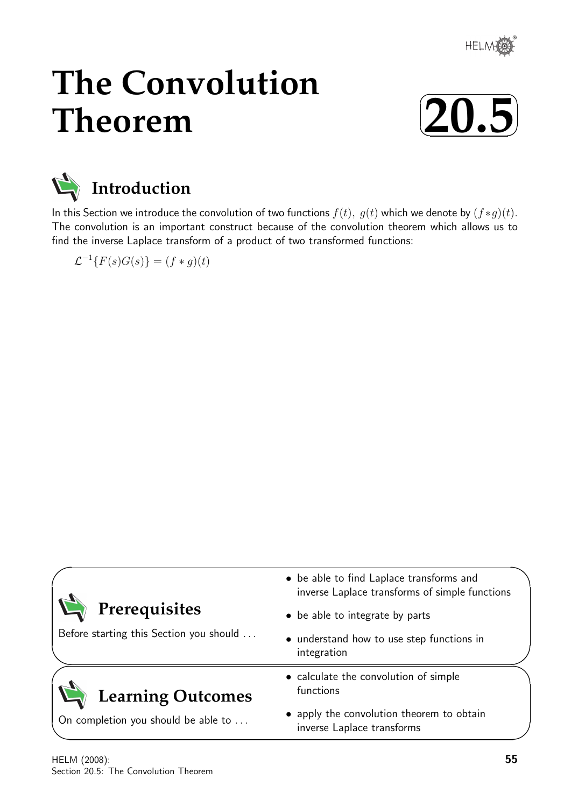

# **The Convolution Theorem**





In this Section we introduce the convolution of two functions  $f(t)$ ,  $g(t)$  which we denote by  $(f*g)(t)$ . The convolution is an important construct because of the convolution theorem which allows us to find the inverse Laplace transform of a product of two transformed functions:

 $\mathcal{L}^{-1}{F(s)G(s)} = (f * g)(t)$ 

| • be able to find Laplace transforms and<br>inverse Laplace transforms of simple functions |
|--------------------------------------------------------------------------------------------|
| • be able to integrate by parts                                                            |
| • understand how to use step functions in<br>integration                                   |
| • calculate the convolution of simple<br>functions                                         |
| • apply the convolution theorem to obtain<br>inverse Laplace transforms                    |
|                                                                                            |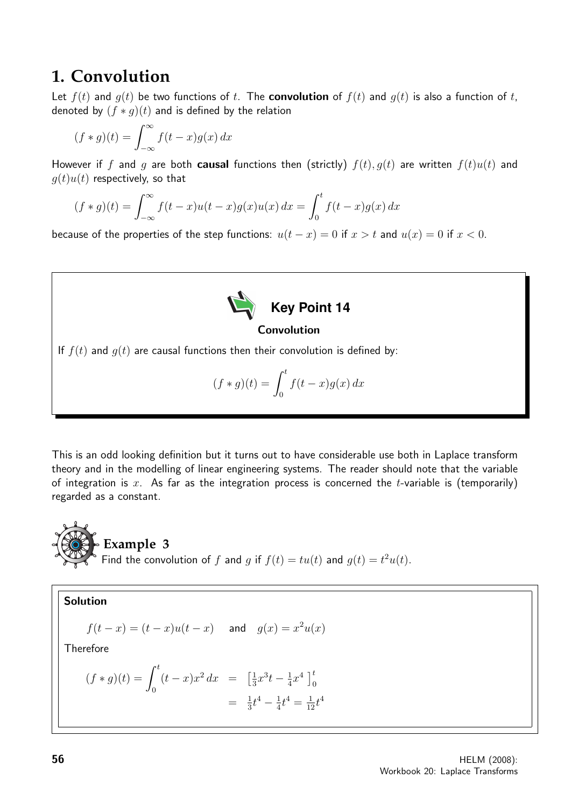## **1. Convolution**

Let  $f(t)$  and  $g(t)$  be two functions of t. The **convolution** of  $f(t)$  and  $g(t)$  is also a function of t, denoted by  $(f * q)(t)$  and is defined by the relation

$$
(f * g)(t) = \int_{-\infty}^{\infty} f(t - x)g(x) dx
$$

However if f and q are both **causal** functions then (strictly)  $f(t)$ ,  $g(t)$  are written  $f(t)u(t)$  and  $g(t)u(t)$  respectively, so that

$$
(f * g)(t) = \int_{-\infty}^{\infty} f(t - x)u(t - x)g(x)u(x) dx = \int_{0}^{t} f(t - x)g(x) dx
$$

because of the properties of the step functions:  $u(t - x) = 0$  if  $x > t$  and  $u(x) = 0$  if  $x < 0$ .



## If  $f(t)$  and  $g(t)$  are causal functions then their convolution is defined by:

$$
(f * g)(t) = \int_0^t f(t - x)g(x) dx
$$

This is an odd looking definition but it turns out to have considerable use both in Laplace transform theory and in the modelling of linear engineering systems. The reader should note that the variable of integration is x. As far as the integration process is concerned the t-variable is (temporarily) regarded as a constant.



Solution  $f(t-x) = (t-x)u(t-x)$  and  $g(x) = x^2u(x)$ **Therefore**  $(f * g)(t) = \int_0^t$ 0  $(t-x)x^2 dx = \frac{1}{3}$  $\frac{1}{3}x^3t - \frac{1}{4}$  $\frac{1}{4}x^4$   $\Big]_0^t$ 

 $=$   $\frac{1}{3}$ 

 $\frac{1}{3}t^4 - \frac{1}{4}$ 

 $\frac{1}{4}t^4 = \frac{1}{12}t^4$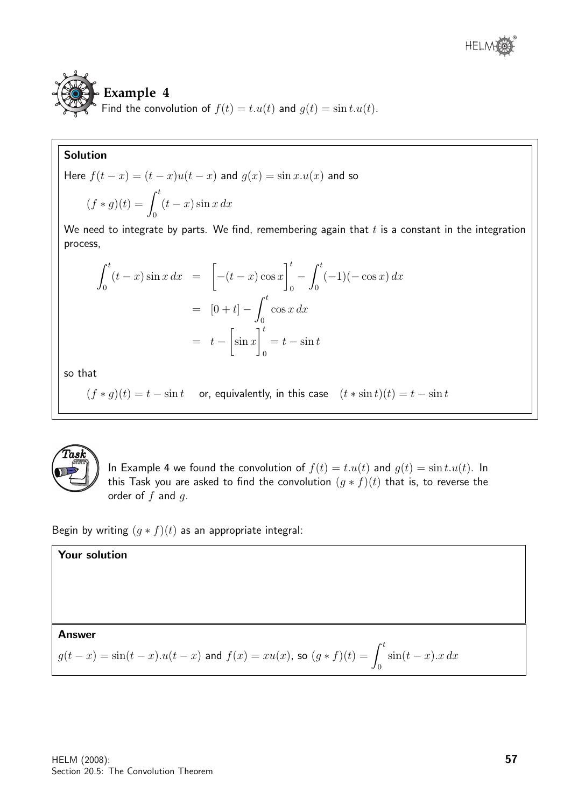## **Example 4** Find the convolution of  $f(t) = t \cdot u(t)$  and  $g(t) = \sin t \cdot u(t)$ .

## Solution

Here 
$$
f(t - x) = (t - x)u(t - x)
$$
 and  $g(x) = \sin x \cdot u(x)$  and so  
\n
$$
(f * g)(t) = \int_0^t (t - x) \sin x \, dx
$$
\nWe need to integrate by parts. We find *comorphoring again* the

We need to integrate by parts. We find, remembering again that  $t$  is a constant in the integration process,

$$
\int_0^t (t - x) \sin x \, dx = \left[ -(t - x) \cos x \right]_0^t - \int_0^t (-1) (-\cos x) \, dx
$$

$$
= [0 + t] - \int_0^t \cos x \, dx
$$

$$
= t - \left[ \sin x \right]_0^t = t - \sin t
$$

so that

 $(f * g)(t) = t - \sin t$  or, equivalently, in this case  $(t * \sin t)(t) = t - \sin t$ 



In Example 4 we found the convolution of  $f(t) = t.u(t)$  and  $g(t) = \sin t.u(t)$ . In this Task you are asked to find the convolution  $(g * f)(t)$  that is, to reverse the order of  $f$  and  $g$ .

Begin by writing  $(g * f)(t)$  as an appropriate integral:

**Your solution**  
Answer  

$$
g(t-x) = \sin(t-x) \cdot u(t-x)
$$
 and  $f(x) = xu(x)$ , so  $(g * f)(t) = \int_0^t \sin(t-x) \cdot x \, dx$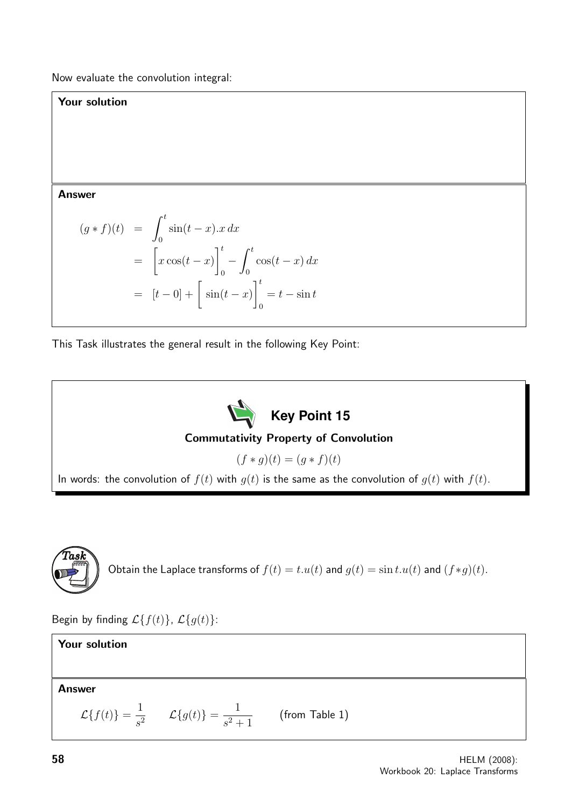Now evaluate the convolution integral:

## Your solution

Answer

$$
(g * f)(t) = \int_0^t \sin(t - x) \cdot x \, dx
$$
  
= 
$$
\left[ x \cos(t - x) \right]_0^t - \int_0^t \cos(t - x) \, dx
$$
  
= 
$$
[t - 0] + \left[ \sin(t - x) \right]_0^t = t - \sin t
$$

This Task illustrates the general result in the following Key Point:



## Commutativity Property of Convolution

 $(f * q)(t) = (q * f)(t)$ 

In words: the convolution of  $f(t)$  with  $g(t)$  is the same as the convolution of  $g(t)$  with  $f(t)$ .



```
Obtain the Laplace transforms of f(t) = t.u(t) and g(t) = \sin t.u(t) and (f*g)(t).
```
Begin by finding  $\mathcal{L}{f(t)}$ ,  $\mathcal{L}{g(t)}$ :

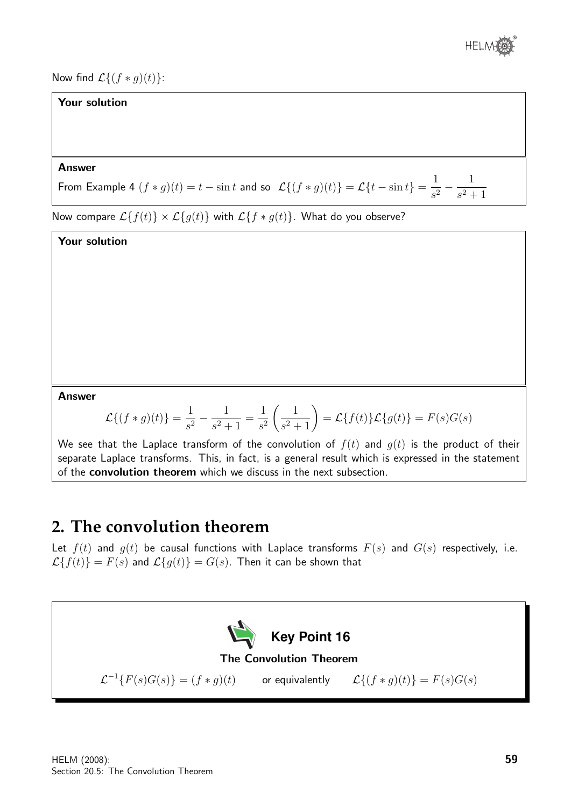

Now find  $\mathcal{L}\{(f * g)(t)\}$ :

## Your solution

### Answer

From Example 4  $(f * g)(t) = t - \sin t$  and so  $\mathcal{L}\{(f * g)(t)\} = \mathcal{L}\{t - \sin t\} = \frac{1}{\sqrt{2\pi}}$  $\frac{1}{s^2} - \frac{1}{s^2 +}$  $s^2 + 1$ 

Now compare  $\mathcal{L}{f(t)} \times \mathcal{L}{g(t)}$  with  $\mathcal{L}{f * g(t)}$ . What do you observe?

Your solution

Answer

$$
\mathcal{L}\{(f*g)(t)\} = \frac{1}{s^2} - \frac{1}{s^2 + 1} = \frac{1}{s^2} \left(\frac{1}{s^2 + 1}\right) = \mathcal{L}\{f(t)\}\mathcal{L}\{g(t)\} = F(s)G(s)
$$

We see that the Laplace transform of the convolution of  $f(t)$  and  $g(t)$  is the product of their separate Laplace transforms. This, in fact, is a general result which is expressed in the statement of the convolution theorem which we discuss in the next subsection.

## **2. The convolution theorem**

Let  $f(t)$  and  $g(t)$  be causal functions with Laplace transforms  $F(s)$  and  $G(s)$  respectively, i.e.  $\mathcal{L}{f(t)} = F(s)$  and  $\mathcal{L}{g(t)} = G(s)$ . Then it can be shown that

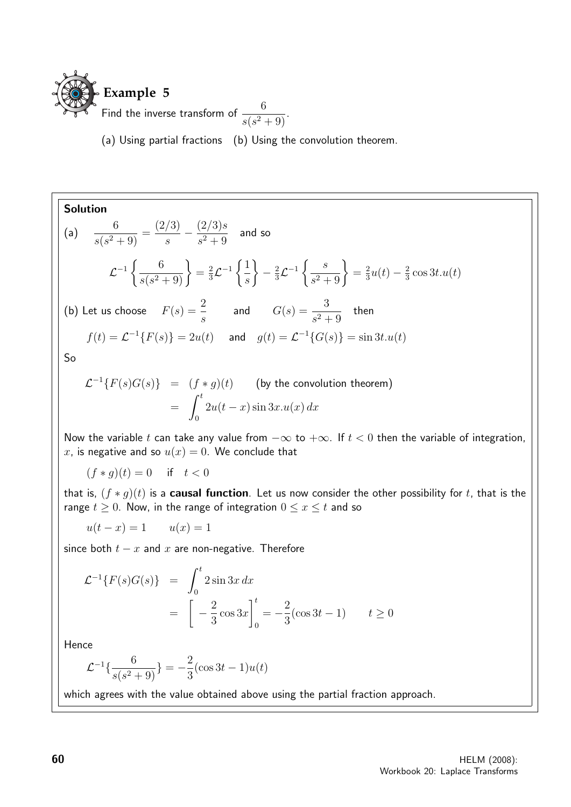

(a) Using partial fractions (b) Using the convolution theorem.

Solution

 $(a)$ 

$$
\frac{6}{s(s^2+9)} = \frac{(2/3)}{s} - \frac{(2/3)s}{s^2+9}
$$
 and so

$$
\mathcal{L}^{-1}\left\{\frac{6}{s(s^2+9)}\right\} = \frac{2}{3}\mathcal{L}^{-1}\left\{\frac{1}{s}\right\} - \frac{2}{3}\mathcal{L}^{-1}\left\{\frac{s}{s^2+9}\right\} = \frac{2}{3}u(t) - \frac{2}{3}\cos 3t.u(t)
$$

(b) Let us choose  $F(s) = \frac{2}{s}$ s and  $G(s) = \frac{3}{2}$  $\frac{6}{s^2+9}$  then

 $f(t) = \mathcal{L}^{-1}{F(s)} = 2u(t)$  and  $g(t) = \mathcal{L}^{-1}{G(s)} = \sin 3t \cdot u(t)$ 

So

$$
\mathcal{L}^{-1}{F(s)G(s)} = (f * g)(t)
$$
 (by the convolution theorem)  
= 
$$
\int_0^t 2u(t-x)\sin 3x \cdot u(x) dx
$$

Now the variable t can take any value from  $-\infty$  to  $+\infty$ . If  $t < 0$  then the variable of integration, x, is negative and so  $u(x) = 0$ . We conclude that

$$
(f * g)(t) = 0 \quad \text{if} \quad t < 0
$$

that is,  $(f * g)(t)$  is a **causal function**. Let us now consider the other possibility for t, that is the range  $t \geq 0$ . Now, in the range of integration  $0 \leq x \leq t$  and so

$$
u(t-x) = 1 \qquad u(x) = 1
$$

since both  $t - x$  and  $x$  are non-negative. Therefore

$$
\mathcal{L}^{-1}{F(s)G(s)} = \int_0^t 2\sin 3x \, dx
$$
  
=  $\left[ -\frac{2}{3}\cos 3x \right]_0^t = -\frac{2}{3}(\cos 3t - 1) \qquad t \ge 0$ 

Hence

$$
\mathcal{L}^{-1}\{\frac{6}{s(s^2+9)}\} = -\frac{2}{3}(\cos 3t - 1)u(t)
$$

which agrees with the value obtained above using the partial fraction approach.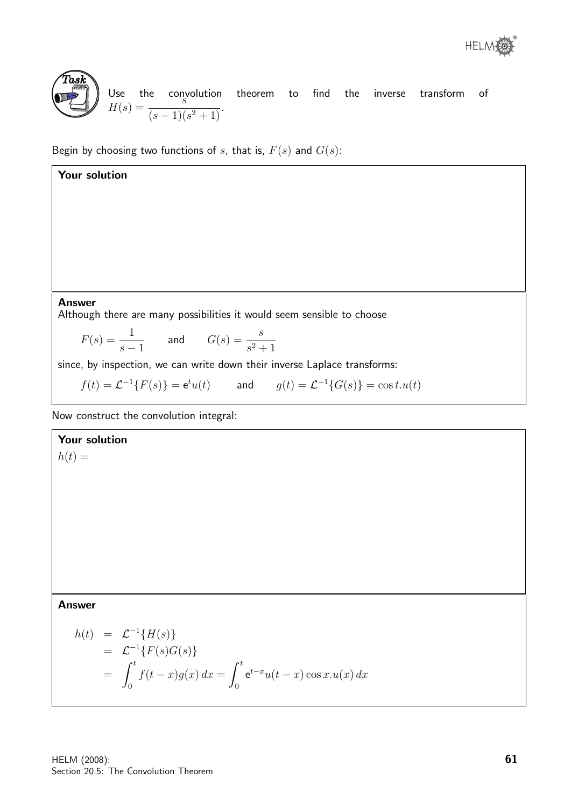

Your solution

Use the convolution theorem to find the inverse transform of  $H(s) = \frac{1}{(s-1)(s^2+1)}$ .  $\frac{s}{(s-1)(s^2+1)}$ .

Begin by choosing two functions of s, that is,  $F(s)$  and  $G(s)$ :

## Answer

Although there are many possibilities it would seem sensible to choose

$$
F(s) = \frac{1}{s-1} \qquad \text{and} \qquad G(s) = \frac{s}{s^2+1}
$$

since, by inspection, we can write down their inverse Laplace transforms:

$$
f(t) = \mathcal{L}^{-1}{F(s)} = e^t u(t) \qquad \text{and} \qquad g(t) = \mathcal{L}^{-1}{G(s)} = \cos t \cdot u(t)
$$

Now construct the convolution integral:

## Your solution

 $h(t) =$ 

### Answer

$$
h(t) = \mathcal{L}^{-1}{H(s)}
$$
  
=  $\mathcal{L}^{-1}{F(s)G(s)}$   
=  $\int_0^t f(t-x)g(x) dx = \int_0^t e^{t-x}u(t-x)\cos x \cdot u(x) dx$